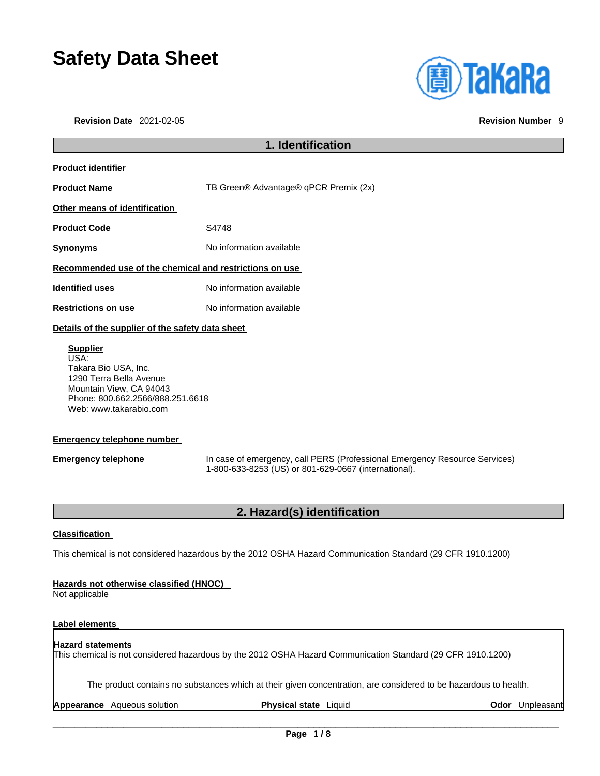# **Safety Data Sheet**

**Revision Date** 2021-02-05 **Revision Number** 9



## **1. Identification Product identifier Product Name** TB Green® Advantage® qPCR Premix (2x) **Other means of identification Product Code 54748 Synonyms** No information available **Recommended use of the chemical and restrictions on use Identified uses** No information available **Restrictions on use** No information available **Details of the supplier of the safety data sheet Supplier** USA: Takara Bio USA, Inc. 1290 Terra Bella Avenue Mountain View, CA 94043 Phone: 800.662.2566/888.251.6618 Web: www.takarabio.com

### **Emergency telephone number**

**Emergency telephone** In case of emergency, call PERS (Professional Emergency Resource Services) 1-800-633-8253 (US) or 801-629-0667 (international).

## **2. Hazard(s) identification**

### **Classification**

This chemical is not considered hazardous by the 2012 OSHA Hazard Communication Standard (29 CFR 1910.1200)

### **Hazards not otherwise classified (HNOC)**

Not applicable

### **Label elements**

## **Hazard statements**

This chemical is not considered hazardous by the 2012 OSHA Hazard Communication Standard (29 CFR 1910.1200)

The product contains no substances which at their given concentration, are considered to be hazardous to health.

**Appearance** Aqueous solution **Physical state** Liquid **Odor** Unpleasant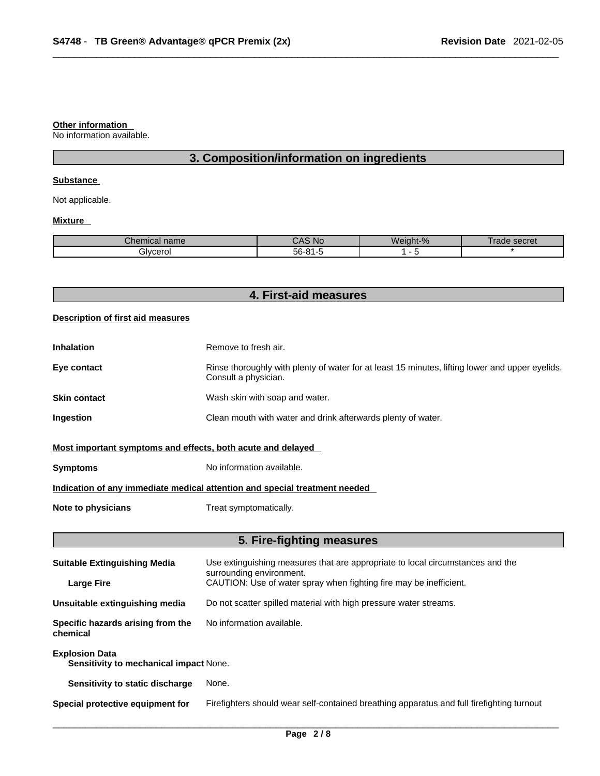### **Other information**

No information available.

## **3. Composition/information on ingredients**

### **Substance**

Not applicable.

### **Mixture**

| ים ה<br>mm<br>.:nei<br>nıcaı name | No                   | $\Omega$<br>$\sim$<br>77 C<br>70 | secret<br>aa |
|-----------------------------------|----------------------|----------------------------------|--------------|
| Bivcerol                          | $ \sim$<br>.<br>-רור |                                  |              |

|  |  | 4. First-aid measures |
|--|--|-----------------------|
|--|--|-----------------------|

### **Description of first aid measures**

| <b>Inhalation</b> | Remove to fresh air.                                                                                                    |
|-------------------|-------------------------------------------------------------------------------------------------------------------------|
| Eye contact       | Rinse thoroughly with plenty of water for at least 15 minutes, lifting lower and upper eyelids.<br>Consult a physician. |
| Skin contact      | Wash skin with soap and water.                                                                                          |
| Ingestion         | Clean mouth with water and drink afterwards plenty of water.                                                            |
|                   |                                                                                                                         |

### **Most important symptoms and effects, both acute and delayed**

**Symptoms** No information available.

### **Indication of any immediate medical attention and special treatment needed**

**Note to physicians** Treat symptomatically.

## **5. Fire-fighting measures**

| <b>Suitable Extinguishing Media</b>                                    | Use extinguishing measures that are appropriate to local circumstances and the<br>surrounding environment. |
|------------------------------------------------------------------------|------------------------------------------------------------------------------------------------------------|
| <b>Large Fire</b>                                                      | CAUTION: Use of water spray when fighting fire may be inefficient.                                         |
| Unsuitable extinguishing media                                         | Do not scatter spilled material with high pressure water streams.                                          |
| Specific hazards arising from the<br>chemical                          | No information available.                                                                                  |
| <b>Explosion Data</b><br><b>Sensitivity to mechanical impact None.</b> |                                                                                                            |
| Sensitivity to static discharge                                        | None.                                                                                                      |
| Special protective equipment for                                       | Firefighters should wear self-contained breathing apparatus and full firefighting turnout                  |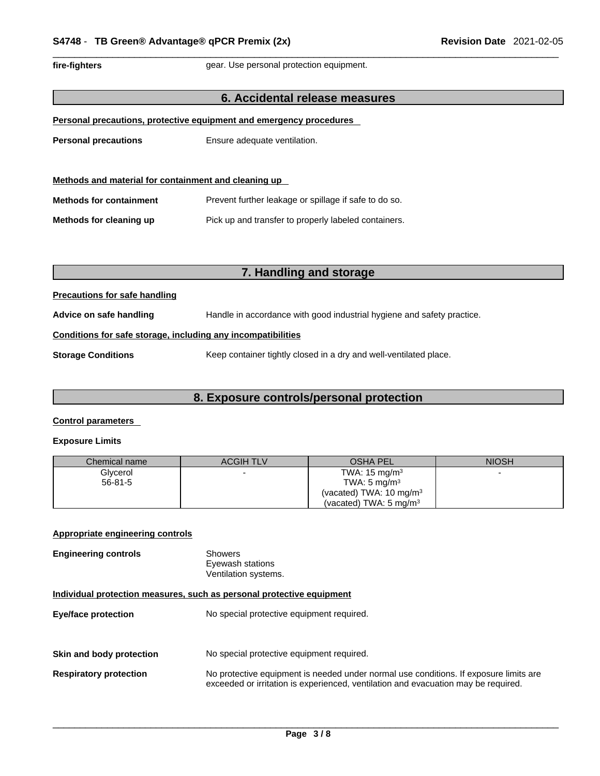fire-fighters **gear.** Use personal protection equipment.

### **6. Accidental release measures**

|  |  | Personal precautions, protective equipment and emergency procedures |  |  |  |
|--|--|---------------------------------------------------------------------|--|--|--|
|  |  |                                                                     |  |  |  |

**Personal precautions** Ensure adequate ventilation.

| Methods and material for containment and cleaning up |                                                       |  |
|------------------------------------------------------|-------------------------------------------------------|--|
| <b>Methods for containment</b>                       | Prevent further leakage or spillage if safe to do so. |  |
| Methods for cleaning up                              | Pick up and transfer to properly labeled containers.  |  |

## **7. Handling and storage**

### **Precautions for safe handling**

**Advice on safe handling** Handle in accordance with good industrial hygiene and safety practice.

### **Conditions for safe storage, including any incompatibilities**

**Storage Conditions** Keep container tightly closed in a dry and well-ventilated place.

### **8. Exposure controls/personal protection**

### **Control parameters**

### **Exposure Limits**

| Chemical name | <b>ACGIH TLV</b> | <b>OSHA PEL</b>                    | <b>NIOSH</b> |
|---------------|------------------|------------------------------------|--------------|
| Glycerol      |                  | TWA: $15 \text{ mg/m}^3$           |              |
| $56 - 81 - 5$ |                  | TWA: $5 \text{ mg/m}^3$            |              |
|               |                  | (vacated) TWA: $10 \text{ mg/m}^3$ |              |
|               |                  | (vacated) TWA: $5 \text{ mg/m}^3$  |              |

### **Appropriate engineering controls**

| <b>Engineering controls</b> | Showers              |
|-----------------------------|----------------------|
|                             | Eyewash stations     |
|                             | Ventilation systems. |

### **Individual protection measures, such as personal protective equipment**

| <b>Eye/face protection</b>    | No special protective equipment required.                                                                                                                                   |
|-------------------------------|-----------------------------------------------------------------------------------------------------------------------------------------------------------------------------|
| Skin and body protection      | No special protective equipment required.                                                                                                                                   |
| <b>Respiratory protection</b> | No protective equipment is needed under normal use conditions. If exposure limits are<br>exceeded or irritation is experienced, ventilation and evacuation may be required. |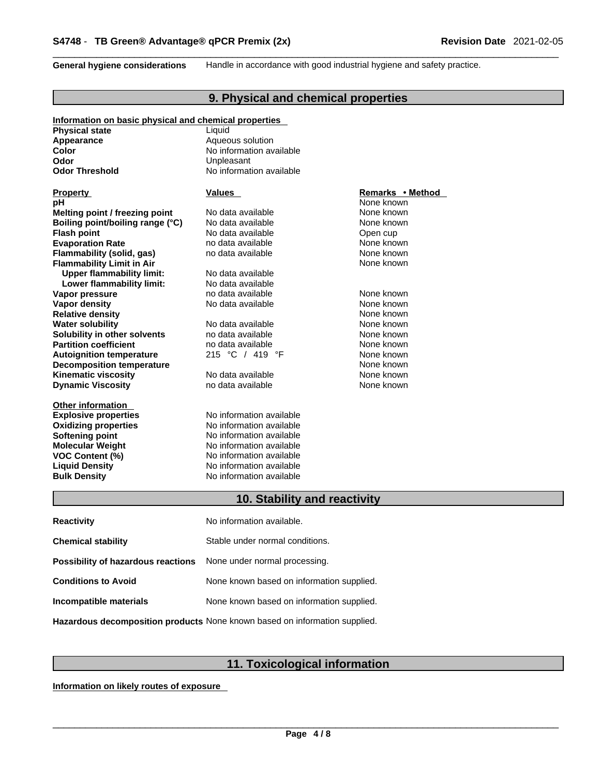**General hygiene considerations** Handle in accordance with good industrial hygiene and safety practice.

## **9. Physical and chemical properties**

| Information on basic physical and chemical properties |                                 |                  |
|-------------------------------------------------------|---------------------------------|------------------|
| <b>Physical state</b>                                 | Liquid                          |                  |
| Appearance                                            | Aqueous solution                |                  |
| Color                                                 | No information available        |                  |
| Odor                                                  | Unpleasant                      |                  |
| <b>Odor Threshold</b>                                 | No information available        |                  |
|                                                       |                                 |                  |
| <b>Property</b>                                       | Values                          | Remarks • Method |
| рH                                                    |                                 | None known       |
| Melting point / freezing point                        | No data available               | None known       |
| Boiling point/boiling range (°C)                      | No data available               | None known       |
| <b>Flash point</b>                                    | No data available               | Open cup         |
| <b>Evaporation Rate</b>                               | no data available               | None known       |
| Flammability (solid, gas)                             | no data available               | None known       |
| <b>Flammability Limit in Air</b>                      |                                 | None known       |
| <b>Upper flammability limit:</b>                      | No data available               |                  |
| Lower flammability limit:                             | No data available               |                  |
| Vapor pressure                                        | no data available               | None known       |
| <b>Vapor density</b>                                  | No data available               | None known       |
| <b>Relative density</b>                               |                                 | None known       |
| <b>Water solubility</b>                               | No data available               | None known       |
| Solubility in other solvents                          | no data available               | None known       |
| <b>Partition coefficient</b>                          | no data available               | None known       |
| <b>Autoignition temperature</b>                       | 215 °C / 419 °F                 | None known       |
| <b>Decomposition temperature</b>                      |                                 | None known       |
| <b>Kinematic viscosity</b>                            | No data available               | None known       |
| <b>Dynamic Viscosity</b>                              | no data available               | None known       |
|                                                       |                                 |                  |
| <b>Other information</b>                              |                                 |                  |
| <b>Explosive properties</b>                           | No information available        |                  |
| <b>Oxidizing properties</b>                           | No information available        |                  |
| <b>Softening point</b>                                | No information available        |                  |
| <b>Molecular Weight</b>                               | No information available        |                  |
| <b>VOC Content (%)</b>                                | No information available        |                  |
| <b>Liquid Density</b>                                 | No information available        |                  |
| <b>Bulk Density</b>                                   | No information available        |                  |
|                                                       |                                 |                  |
|                                                       | 10. Stability and reactivity    |                  |
| <b>Reactivity</b>                                     | No information available.       |                  |
|                                                       |                                 |                  |
| <b>Chemical stability</b>                             | Stable under normal conditions. |                  |
| <b>Possibility of hazardous reactions</b>             | None under normal processing.   |                  |

**Conditions to Avoid** None known based on information supplied.

**Incompatible materials** None known based on information supplied.

**Hazardous decomposition products** None known based on information supplied.

## **11. Toxicological information**

**Information on likely routes of exposure**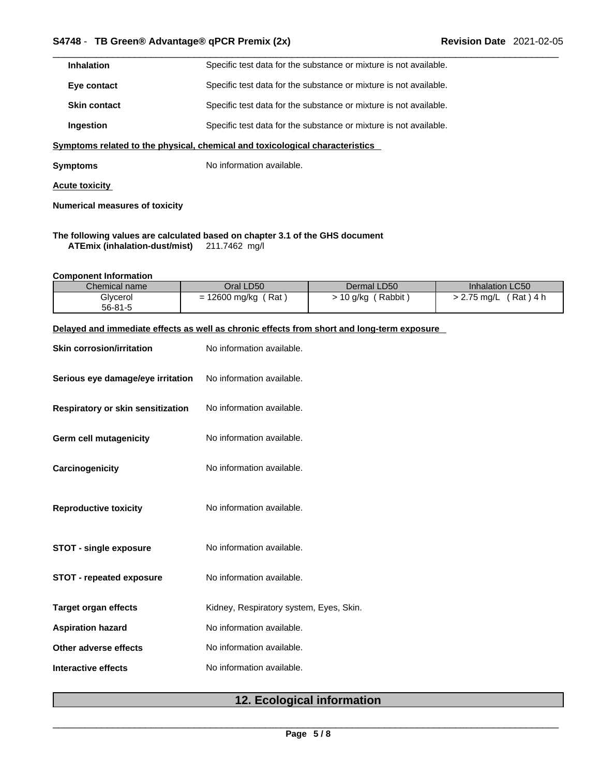| <b>Inhalation</b>   | Specific test data for the substance or mixture is not available. |
|---------------------|-------------------------------------------------------------------|
| Eye contact         | Specific test data for the substance or mixture is not available. |
| <b>Skin contact</b> | Specific test data for the substance or mixture is not available. |
| Ingestion           | Specific test data for the substance or mixture is not available. |

**<u>Symptoms related to the physical, chemical and toxicological characteristics</u>** 

**Symptoms** No information available.

**Acute toxicity**

**Numerical measures of toxicity**

**The following values are calculated based on chapter 3.1 of the GHS document ATEmix (inhalation-dust/mist)** 211.7462 mg/l

**Component Information**

| Chemical name | Oral LD50          | Dermal LD50       | Inhalation LC50          |
|---------------|--------------------|-------------------|--------------------------|
| Glycerol      | Rat<br>12600 mg/kg | Rabbit<br>10 g/kg | Rat ) 4 h<br>$2.75$ ma/L |
| $56 - 81 - 5$ |                    |                   |                          |

### **Delayed and immediate effects as well as chronic effects from short and long-term exposure**

| <b>Skin corrosion/irritation</b>  | No information available.               |  |
|-----------------------------------|-----------------------------------------|--|
| Serious eye damage/eye irritation | No information available.               |  |
| Respiratory or skin sensitization | No information available.               |  |
| Germ cell mutagenicity            | No information available.               |  |
| Carcinogenicity                   | No information available.               |  |
| <b>Reproductive toxicity</b>      | No information available.               |  |
| <b>STOT - single exposure</b>     | No information available.               |  |
| <b>STOT - repeated exposure</b>   | No information available.               |  |
| <b>Target organ effects</b>       | Kidney, Respiratory system, Eyes, Skin. |  |
| <b>Aspiration hazard</b>          | No information available.               |  |
| Other adverse effects             | No information available.               |  |
| <b>Interactive effects</b>        | No information available.               |  |

## **12. Ecological information**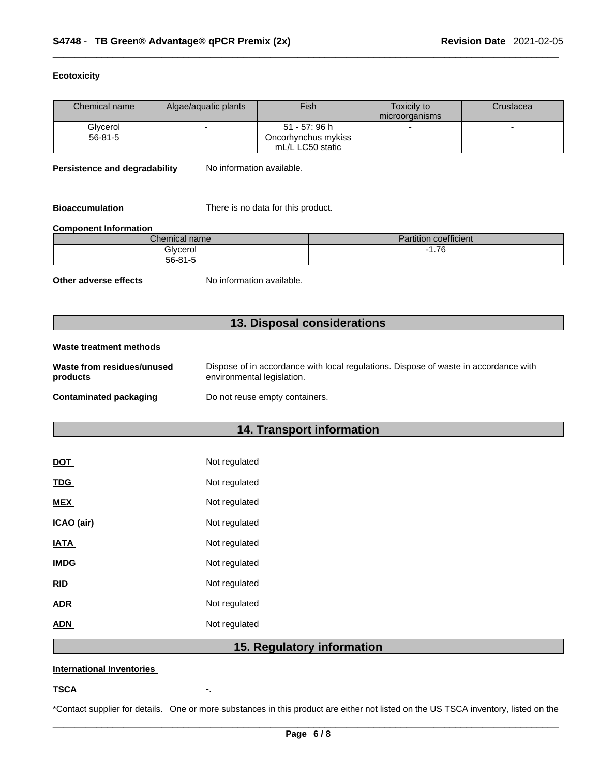### **Ecotoxicity**

| Chemical name<br>Fish<br>Algae/aquatic plants<br>Toxicity to<br>Crustacea<br>microorganisms<br>51 - 57: 96 h<br>Glycerol<br>56-81-5<br>Oncorhynchus mykiss<br>mL/L LC50 static<br>No information available.<br><b>Persistence and degradability</b> |                                                                                      |  |  |  |  |  |
|-----------------------------------------------------------------------------------------------------------------------------------------------------------------------------------------------------------------------------------------------------|--------------------------------------------------------------------------------------|--|--|--|--|--|
|                                                                                                                                                                                                                                                     |                                                                                      |  |  |  |  |  |
|                                                                                                                                                                                                                                                     |                                                                                      |  |  |  |  |  |
|                                                                                                                                                                                                                                                     |                                                                                      |  |  |  |  |  |
|                                                                                                                                                                                                                                                     |                                                                                      |  |  |  |  |  |
|                                                                                                                                                                                                                                                     |                                                                                      |  |  |  |  |  |
|                                                                                                                                                                                                                                                     |                                                                                      |  |  |  |  |  |
|                                                                                                                                                                                                                                                     | <b>Bioaccumulation</b><br>There is no data for this product.                         |  |  |  |  |  |
| <b>Component Information</b>                                                                                                                                                                                                                        |                                                                                      |  |  |  |  |  |
| <b>Partition coefficient</b><br>Chemical name                                                                                                                                                                                                       |                                                                                      |  |  |  |  |  |
| $-1.76$<br>Glycerol<br>$56 - 81 - 5$                                                                                                                                                                                                                |                                                                                      |  |  |  |  |  |
| No information available.<br>Other adverse effects                                                                                                                                                                                                  |                                                                                      |  |  |  |  |  |
| 13. Disposal considerations                                                                                                                                                                                                                         |                                                                                      |  |  |  |  |  |
| <b>Waste treatment methods</b>                                                                                                                                                                                                                      |                                                                                      |  |  |  |  |  |
| Waste from residues/unused<br>environmental legislation.<br>products                                                                                                                                                                                | Dispose of in accordance with local regulations. Dispose of waste in accordance with |  |  |  |  |  |
| <b>Contaminated packaging</b><br>Do not reuse empty containers.                                                                                                                                                                                     |                                                                                      |  |  |  |  |  |
|                                                                                                                                                                                                                                                     |                                                                                      |  |  |  |  |  |
| 14. Transport information                                                                                                                                                                                                                           |                                                                                      |  |  |  |  |  |
| Not regulated<br><b>DOT</b>                                                                                                                                                                                                                         |                                                                                      |  |  |  |  |  |

| __          |               |
|-------------|---------------|
| <b>TDG</b>  | Not regulated |
| <b>MEX</b>  | Not regulated |
| ICAO (air)  | Not regulated |
| <b>IATA</b> | Not regulated |
| <b>IMDG</b> | Not regulated |
| <b>RID</b>  | Not regulated |
| <b>ADR</b>  | Not regulated |
| <b>ADN</b>  | Not regulated |
|             |               |

## **15. Regulatory information**

### **International Inventories**

### **TSCA** -.

\*Contact supplier for details. One or more substances in this product are either not listed on the US TSCA inventory, listed on the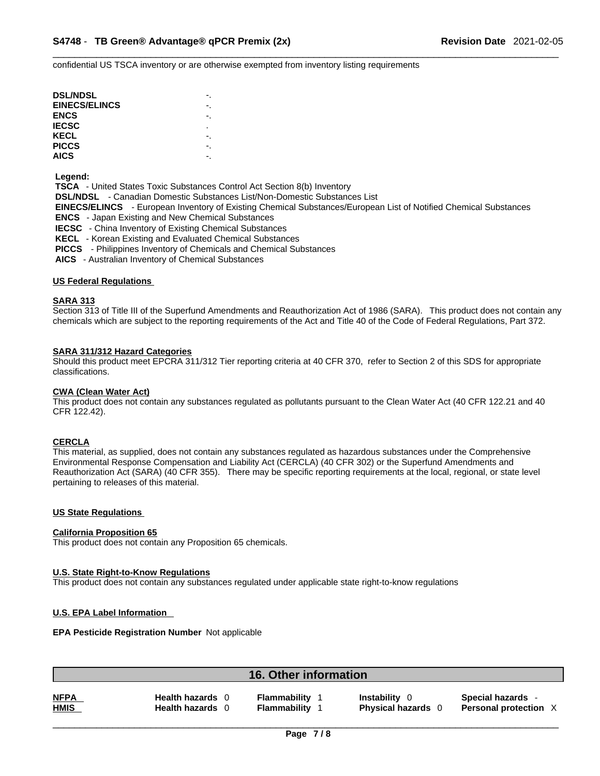confidential US TSCA inventory or are otherwise exempted from inventory listing requirements

| <b>DSL/NDSL</b>      |    |
|----------------------|----|
| <b>EINECS/ELINCS</b> |    |
| <b>ENCS</b>          |    |
| <b>IECSC</b>         | ٠  |
| KECL                 | ٠. |
| <b>PICCS</b>         | -  |
| <b>AICS</b>          |    |

### **Legend:**

 **TSCA** - United States Toxic Substances Control Act Section 8(b) Inventory

 **DSL/NDSL** - Canadian Domestic Substances List/Non-Domestic Substances List

 **EINECS/ELINCS** - European Inventory of Existing Chemical Substances/European List of Notified Chemical Substances

 **ENCS** - Japan Existing and New Chemical Substances

 **IECSC** - China Inventory of Existing Chemical Substances

 **KECL** - Korean Existing and Evaluated Chemical Substances

 **PICCS** - Philippines Inventory of Chemicals and Chemical Substances

 **AICS** - Australian Inventory of Chemical Substances

### **US Federal Regulations**

### **SARA 313**

Section 313 of Title III of the Superfund Amendments and Reauthorization Act of 1986 (SARA). This product does not contain any chemicals which are subject to the reporting requirements of the Act and Title 40 of the Code of Federal Regulations, Part 372.

### **SARA 311/312 Hazard Categories**

Should this product meet EPCRA 311/312 Tier reporting criteria at 40 CFR 370, refer to Section 2 of this SDS for appropriate classifications.

### **CWA** (Clean Water Act)

This product does not contain any substances regulated as pollutants pursuant to the Clean Water Act (40 CFR 122.21 and 40 CFR 122.42).

### **CERCLA**

This material, as supplied, does not contain any substances regulated as hazardous substances under the Comprehensive Environmental Response Compensation and Liability Act (CERCLA) (40 CFR 302) or the Superfund Amendments and Reauthorization Act (SARA) (40 CFR 355). There may be specific reporting requirements at the local, regional, or state level pertaining to releases of this material.

### **US State Regulations**

### **California Proposition 65**

This product does not contain any Proposition 65 chemicals.

### **U.S. State Right-to-Know Regulations**

This product does not contain any substances regulated under applicable state right-to-know regulations

### **U.S. EPA Label Information**

### **EPA Pesticide Registration Number** Not applicable

| <b>16. Other information</b>                                                 |                              |                                               |                                                   |
|------------------------------------------------------------------------------|------------------------------|-----------------------------------------------|---------------------------------------------------|
| <b>NFPA</b><br><b>Health hazards</b><br><b>HMIS</b><br><b>Health hazards</b> | Flammability<br>Flammability | <b>Instability</b><br><b>Physical hazards</b> | Special hazards -<br><b>Personal protection X</b> |